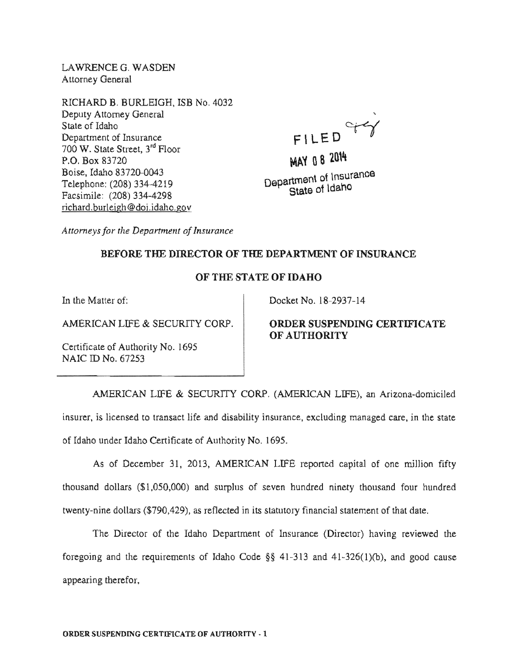LAWRENCEG. WASDEN Attorney General

RICHARD B. BURLEIGH, ISB No. 4032 Deputy Attorney General State of Idaho Department of Insurance 700 W. State Street, 3<sup>rd</sup> Floor P.O. 83720 Boise. Idaho 83720-0043 Telephone: (208) 334-4219 Facsimile: (208) 334-4298 nchard.burleigh@doi.idaho.gov

FILED <sup>c</sup>

MAY 08 2014 Department of Insurance State of Idaho

*Attorneys for the Department of Insurance* 

## BEFORE THE DIRECTOR OF THE DEPARTMENT OF INSURANCE

# OF THE STATE OF IDAHO

In the Matter of:

AMERICAN LIFE & SECURITY CORP.

Certificate of Authority No. 1695 NAIC ID No. 67253

Docket No. 18-2937-14

# ORDER SUSPENDING CERTIFICATE OF AUTHORITY

AMERICAN LIFE & SECURITY CORP. (AMERICAN LIFE), an Arizona-domiciled insurer, is licensed to transact life and disability insurance, excluding managed care, in the state of Idaho under Idaho Certificate of Authority No. 1695.

As of December 31, 2013, AMERICAN LIFE reported capital of one million fifty thousand dollars  $(\$1,050,000)$  and surplus of seven hundred ninety thousand four hundred twenty-nine dollars (\$790,429), as reflected in its statutory financial statement of that date.

The Director of the Idaho Department of Insurance (Director) having reviewed the foregoing and the requirements of Idaho Code  $\S$ § 41-313 and 41-326(1)(b), and good cause appearing therefor,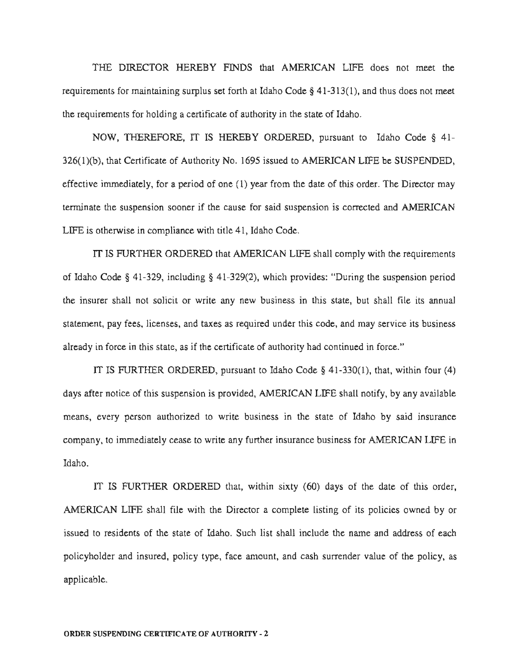THE DIRECTOR HEREBY FINDS that AMERICAN LIFE does not meet the maintaining surplus set forth at Idaho Code  $\S$  41-313(1), and thus does not meet the requirements for holding a certificate of authority in the state of Idaho.

NOW, THEREFORE, IT IS HEREBY ORDERED, pursuant to Idaho Code  $\S$  41- $326(1)(b)$ , that Certificate of Authority No. 1695 issued to AMERICAN LIFE be SUSPENDED, effective immediately, for a period of one  $(1)$  year from the date of this order. The Director may terminate the suspension sooner if the cause for said suspension is corrected and AMERICAN LIFE is otherwise in compliance with title 41, Idaho Code.

IT IS FURTHER ORDERED that AMERICAN LIFE shall comply with the requirements of Idaho Code § 41-329, including § 41-329(2), which provides: "During the suspension period the insurer shall not solicit or write any new business in this state, but shall file its annual statement, pay fees, licenses, and taxes as required under this code, and may service its business already in force in this state, as if the certificate of authority had continued in force."

IT IS FURTHER ORDERED, pursuant to Idaho Code  $\S$  41-330(1), that, within four (4) days after notice of this suspension is provided, AMERICAN LIFE shall notify, by any available means, every person authorized to write business in the state of Idaho by said insurance company, to immediately cease to write any further insurance business for AMERICAN LIFE in Idaho.

IT IS FURTHER ORDERED that, within sixty  $(60)$  days of the date of this order, AMERICAN LIFE shall file with the Director a complete listing of its policies owned by or issued to residents of the state of Idaho. Such list shall include the name and policyholder and insured, policy type, face amount, and cash surrender value of the policy, as applicable.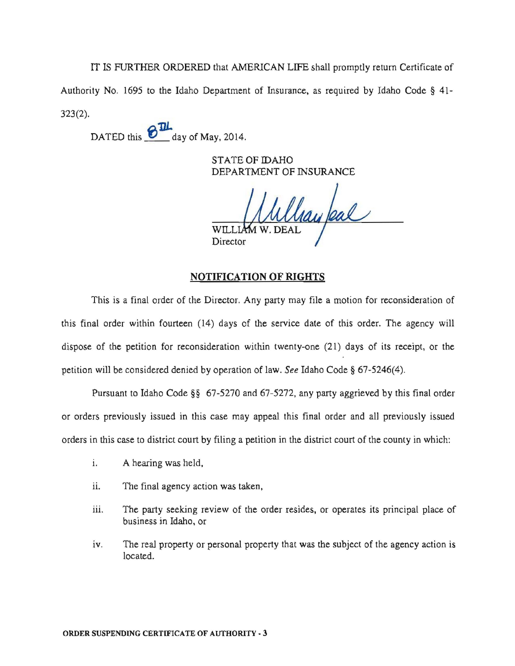IT IS FURTHER ORDERED that AMERICAN LIFE shall promptly return Certificate of Authority No. 1695 to the Idaho Department of Insurance, as required by Idaho Code § 41-323(2).

DATED this  $\frac{\partial \mathbf{L}}{\partial \mathbf{L}}$  day of May, 2014.

STATE OF IDAHO DEPARTMENT OF INSURANCE

hay feal WILL.

Director

## **NOTIFICATION OF RIGHTS**

This is a final order of the Director. Any party may file a motion for reconsideration of this final order within fourteen (14) days of the service date of this order. The agency will dispose of the petition for reconsideration within twenty-one (21) days of its receipt, or the petition will be considered denied by operation of law. *See* Idaho Code § 67-5246(4).

Pursuant to Idaho Code §§ 67-5270 and 67-5272, any party aggrieved by this final order or orders previously issued in this case may appeal this final order and all previously issued orders in this case to district court by filing a petition in the district court of the county in which:

- i. A hearing was held,
- ii. The final agency action was taken,
- iii. The party seeking review of the order resides, or operates its principal place of business in Idaho, or
- iv. The real property or personal property that was the subject of the agency action is located.